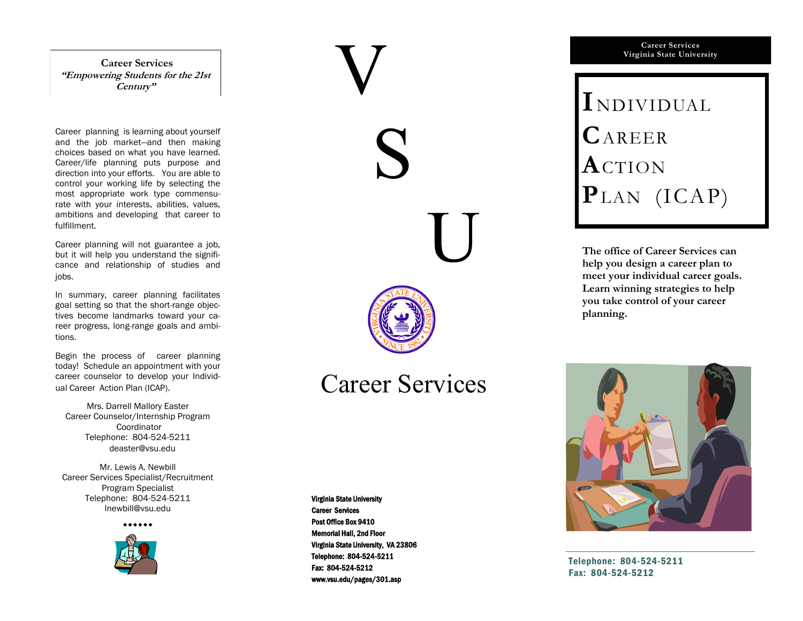**Career Services "Empowering Students for the 21st Century"**

Career planning is learning about yourself and the job market —and then making choices based on what you have learned. Career/life planning puts purpose and direction into your efforts. You are able to control your working life by selecting the most appropriate work type commensurate with your interests, abilities, values, ambitions and developing that career to fulfillment.

Career planning will not guarantee a job, but it will help you understand the significance and relationship of studies and jobs.

In summary, career planning facilitates goal setting so that the short -range objectives become landmarks toward your career progress, long-range goals and ambitions.

Begin the process of career planning today! Schedule an appointment with your career counselor to develop your Individual Career Action Plan (ICAP).

Mrs. Darrell Mallory Easter Career Counselor/Internship Program Coordinator Telephone: 804 -524 -5211 deaster@vsu.edu

Mr. Lewis A. Newbill Career Services Specialist/Recruitment Program Specialist Telephone: 804 -524 -5211 lnewbill@vsu.edu



Virginia State University<br>Career Services<br>Post Office Box 9410<br>Ninginia State University<br>Memorial Hall, 2nd Floor<br>Ninginia State University, VA 23<br>Telephone: 804-524-5211<br>Fax: 804-524-5212<br>Www.vsu.edu/pages/301.asp Virginia State University Career Services Post Office Box 9410 Memorial Hall, 2nd Floor Virginia State University, VA 23806 Telephone: 804 -524 -5211 Fax: 804 -524 -5212 www.vsu.edu/pages/301.asp

S

Career Services

U

### **Career Services Virginia State University**

# **I** NDIVIDUAL **C**AREER **A**CTION **P**LAN (ICAP)

**The office of Career Services can help you design a career plan to meet your individual career goals. Learn winning strategies to help you take control of your career planning.**



Telephone: 804 -524 -5211 Fax: 804 -524 -5212